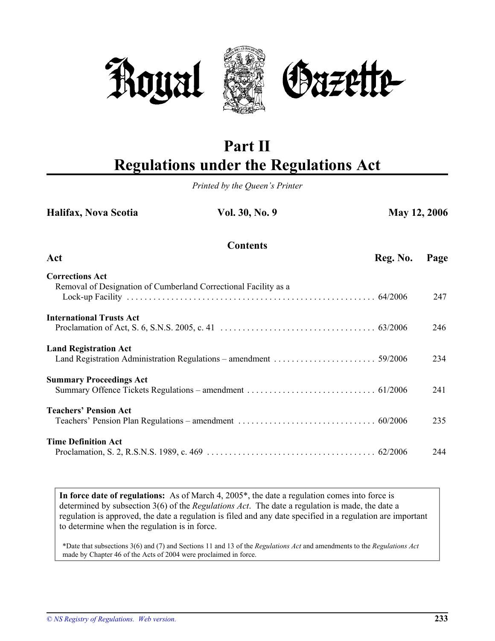



# **Part II Regulations under the Regulations Act**

*Printed by the Queen's Printer*

| Halifax, Nova Scotia                                                                      | Vol. 30, No. 9  | <b>May 12, 2006</b> |      |
|-------------------------------------------------------------------------------------------|-----------------|---------------------|------|
| Act                                                                                       | <b>Contents</b> | Reg. No.            | Page |
|                                                                                           |                 |                     |      |
| <b>Corrections Act</b><br>Removal of Designation of Cumberland Correctional Facility as a |                 |                     | 247  |
| <b>International Trusts Act</b>                                                           |                 |                     | 246  |
| <b>Land Registration Act</b>                                                              |                 |                     | 234  |
| <b>Summary Proceedings Act</b>                                                            |                 |                     | 241  |
| <b>Teachers' Pension Act</b>                                                              |                 |                     | 235  |
| <b>Time Definition Act</b>                                                                |                 |                     | 244  |

**In force date of regulations:** As of March 4, 2005\*, the date a regulation comes into force is determined by subsection 3(6) of the *Regulations Act*. The date a regulation is made, the date a regulation is approved, the date a regulation is filed and any date specified in a regulation are important to determine when the regulation is in force.

\*Date that subsections 3(6) and (7) and Sections 11 and 13 of the *Regulations Act* and amendments to the *Regulations Act* made by Chapter 46 of the Acts of 2004 were proclaimed in force.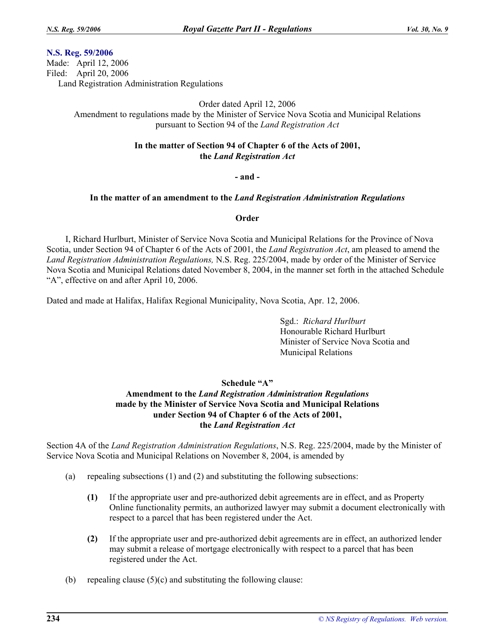# **N.S. Reg. 59/2006**

Made: April 12, 2006 Filed: April 20, 2006 Land Registration Administration Regulations

Order dated April 12, 2006

Amendment to regulations made by the Minister of Service Nova Scotia and Municipal Relations pursuant to Section 94 of the *Land Registration Act*

# **In the matter of Section 94 of Chapter 6 of the Acts of 2001, the** *Land Registration Act*

## **- and -**

## **In the matter of an amendment to the** *Land Registration Administration Regulations*

## **Order**

I, Richard Hurlburt, Minister of Service Nova Scotia and Municipal Relations for the Province of Nova Scotia, under Section 94 of Chapter 6 of the Acts of 2001, the *Land Registration Act*, am pleased to amend the *Land Registration Administration Regulations,* N.S. Reg. 225/2004, made by order of the Minister of Service Nova Scotia and Municipal Relations dated November 8, 2004, in the manner set forth in the attached Schedule "A", effective on and after April 10, 2006.

Dated and made at Halifax, Halifax Regional Municipality, Nova Scotia, Apr. 12, 2006.

Sgd.: *Richard Hurlburt* Honourable Richard Hurlburt Minister of Service Nova Scotia and Municipal Relations

# **Schedule "A"**

# **Amendment to the** *Land Registration Administration Regulations* **made by the Minister of Service Nova Scotia and Municipal Relations under Section 94 of Chapter 6 of the Acts of 2001, the** *Land Registration Act*

Section 4A of the *Land Registration Administration Regulations*, N.S. Reg. 225/2004, made by the Minister of Service Nova Scotia and Municipal Relations on November 8, 2004, is amended by

- (a) repealing subsections (1) and (2) and substituting the following subsections:
	- **(1)** If the appropriate user and pre-authorized debit agreements are in effect, and as Property Online functionality permits, an authorized lawyer may submit a document electronically with respect to a parcel that has been registered under the Act.
	- **(2)** If the appropriate user and pre-authorized debit agreements are in effect, an authorized lender may submit a release of mortgage electronically with respect to a parcel that has been registered under the Act.
- (b) repealing clause  $(5)(c)$  and substituting the following clause: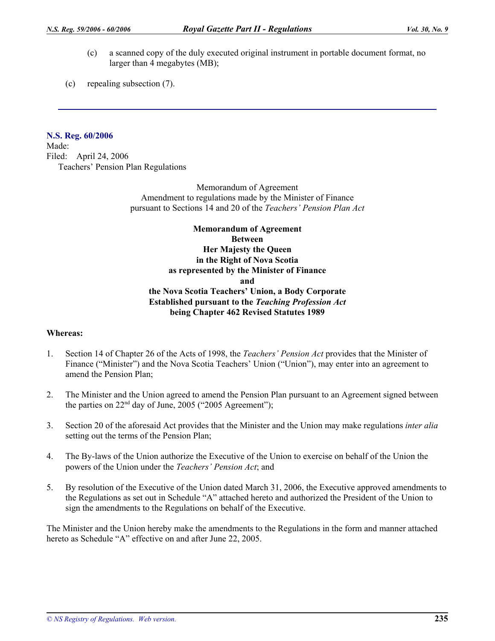- (c) a scanned copy of the duly executed original instrument in portable document format, no larger than 4 megabytes (MB);
- (c) repealing subsection (7).

# **N.S. Reg. 60/2006**

Made: Filed: April 24, 2006 Teachers' Pension Plan Regulations

> Memorandum of Agreement Amendment to regulations made by the Minister of Finance pursuant to Sections 14 and 20 of the *Teachers' Pension Plan Act*

# **Memorandum of Agreement Between Her Majesty the Queen in the Right of Nova Scotia as represented by the Minister of Finance and the Nova Scotia Teachers' Union, a Body Corporate Established pursuant to the** *Teaching Profession Act* **being Chapter 462 Revised Statutes 1989**

# **Whereas:**

- 1. Section 14 of Chapter 26 of the Acts of 1998, the *Teachers' Pension Act* provides that the Minister of Finance ("Minister") and the Nova Scotia Teachers' Union ("Union"), may enter into an agreement to amend the Pension Plan;
- 2. The Minister and the Union agreed to amend the Pension Plan pursuant to an Agreement signed between the parties on  $22<sup>nd</sup>$  day of June, 2005 ("2005 Agreement");
- 3. Section 20 of the aforesaid Act provides that the Minister and the Union may make regulations *inter alia* setting out the terms of the Pension Plan;
- 4. The By-laws of the Union authorize the Executive of the Union to exercise on behalf of the Union the powers of the Union under the *Teachers' Pension Act*; and
- 5. By resolution of the Executive of the Union dated March 31, 2006, the Executive approved amendments to the Regulations as set out in Schedule "A" attached hereto and authorized the President of the Union to sign the amendments to the Regulations on behalf of the Executive.

The Minister and the Union hereby make the amendments to the Regulations in the form and manner attached hereto as Schedule "A" effective on and after June 22, 2005.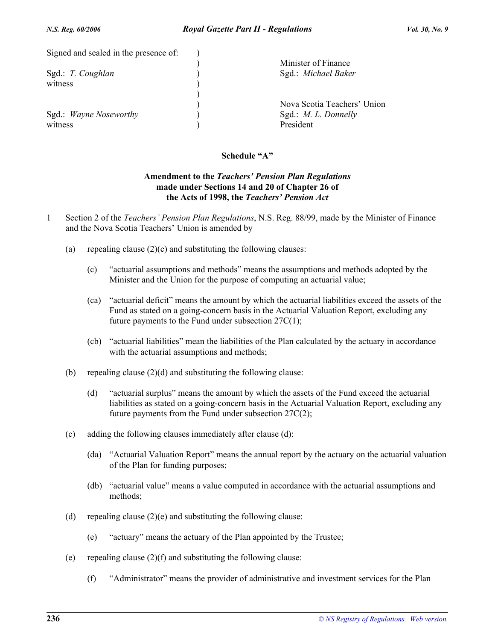| Signed and sealed in the presence of: |                             |
|---------------------------------------|-----------------------------|
|                                       | Minister of Finance         |
| Sgd.: T. Coughlan                     | Sgd.: Michael Baker         |
| witness                               |                             |
|                                       |                             |
|                                       | Nova Scotia Teachers' Union |
| Sgd.: Wayne Noseworthy                | Sgd.: $M. L.$ Donnelly      |
| witness                               | President                   |

# **Schedule "A"**

# **Amendment to the** *Teachers' Pension Plan Regulations* **made under Sections 14 and 20 of Chapter 26 of the Acts of 1998, the** *Teachers' Pension Act*

- 1 Section 2 of the *Teachers' Pension Plan Regulations*, N.S. Reg. 88/99, made by the Minister of Finance and the Nova Scotia Teachers' Union is amended by
	- (a) repealing clause  $(2)(c)$  and substituting the following clauses:
		- (c) "actuarial assumptions and methods" means the assumptions and methods adopted by the Minister and the Union for the purpose of computing an actuarial value;
		- (ca) "actuarial deficit" means the amount by which the actuarial liabilities exceed the assets of the Fund as stated on a going-concern basis in the Actuarial Valuation Report, excluding any future payments to the Fund under subsection  $27C(1)$ ;
		- (cb) "actuarial liabilities" mean the liabilities of the Plan calculated by the actuary in accordance with the actuarial assumptions and methods;
	- (b) repealing clause  $(2)(d)$  and substituting the following clause:
		- (d) "actuarial surplus" means the amount by which the assets of the Fund exceed the actuarial liabilities as stated on a going-concern basis in the Actuarial Valuation Report, excluding any future payments from the Fund under subsection 27C(2);
	- (c) adding the following clauses immediately after clause (d):
		- (da) "Actuarial Valuation Report" means the annual report by the actuary on the actuarial valuation of the Plan for funding purposes;
		- (db) "actuarial value" means a value computed in accordance with the actuarial assumptions and methods;
	- (d) repealing clause  $(2)(e)$  and substituting the following clause:
		- (e) "actuary" means the actuary of the Plan appointed by the Trustee;
	- (e) repealing clause  $(2)(f)$  and substituting the following clause:
		- (f) "Administrator" means the provider of administrative and investment services for the Plan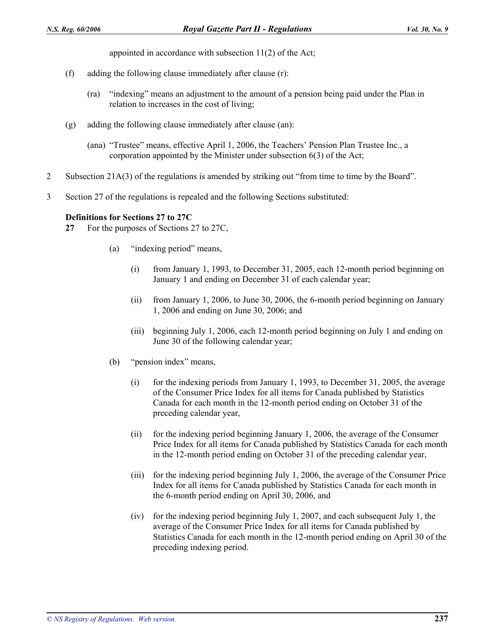appointed in accordance with subsection 11(2) of the Act;

- (f) adding the following clause immediately after clause (r):
	- (ra) "indexing" means an adjustment to the amount of a pension being paid under the Plan in relation to increases in the cost of living;
- (g) adding the following clause immediately after clause (an):
	- (ana) "Trustee" means, effective April 1, 2006, the Teachers' Pension Plan Trustee Inc., a corporation appointed by the Minister under subsection 6(3) of the Act;
- 2 Subsection 21A(3) of the regulations is amended by striking out "from time to time by the Board".
- 3 Section 27 of the regulations is repealed and the following Sections substituted:

## **Definitions for Sections 27 to 27C**

- **27** For the purposes of Sections 27 to 27C,
	- (a) "indexing period" means,
		- (i) from January 1, 1993, to December 31, 2005, each 12-month period beginning on January 1 and ending on December 31 of each calendar year;
		- (ii) from January 1, 2006, to June 30, 2006, the 6-month period beginning on January 1, 2006 and ending on June 30, 2006; and
		- (iii) beginning July 1, 2006, each 12-month period beginning on July 1 and ending on June 30 of the following calendar year;
	- (b) "pension index" means,
		- (i) for the indexing periods from January 1, 1993, to December 31, 2005, the average of the Consumer Price Index for all items for Canada published by Statistics Canada for each month in the 12-month period ending on October 31 of the preceding calendar year,
		- (ii) for the indexing period beginning January 1, 2006, the average of the Consumer Price Index for all items for Canada published by Statistics Canada for each month in the 12-month period ending on October 31 of the preceding calendar year,
		- (iii) for the indexing period beginning July 1, 2006, the average of the Consumer Price Index for all items for Canada published by Statistics Canada for each month in the 6-month period ending on April 30, 2006, and
		- (iv) for the indexing period beginning July 1, 2007, and each subsequent July 1, the average of the Consumer Price Index for all items for Canada published by Statistics Canada for each month in the 12-month period ending on April 30 of the preceding indexing period.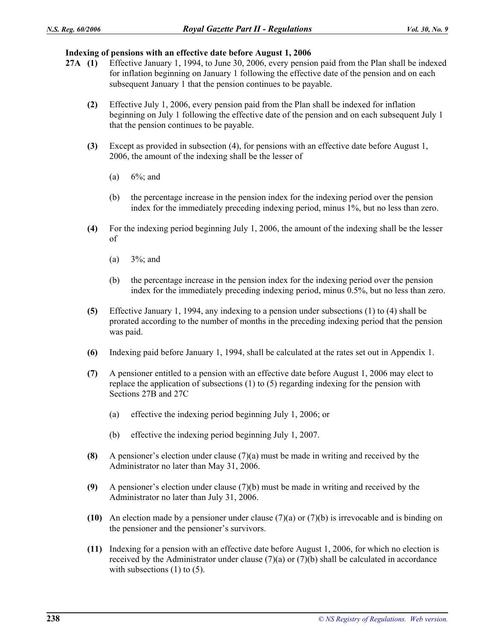# **Indexing of pensions with an effective date before August 1, 2006**

- **27A (1)** Effective January 1, 1994, to June 30, 2006, every pension paid from the Plan shall be indexed for inflation beginning on January 1 following the effective date of the pension and on each subsequent January 1 that the pension continues to be payable.
	- **(2)** Effective July 1, 2006, every pension paid from the Plan shall be indexed for inflation beginning on July 1 following the effective date of the pension and on each subsequent July 1 that the pension continues to be payable.
	- **(3)** Except as provided in subsection (4), for pensions with an effective date before August 1, 2006, the amount of the indexing shall be the lesser of
		- (a)  $6\frac{6}{3}$ ; and
		- (b) the percentage increase in the pension index for the indexing period over the pension index for the immediately preceding indexing period, minus 1%, but no less than zero.
	- **(4)** For the indexing period beginning July 1, 2006, the amount of the indexing shall be the lesser of
		- (a)  $3\%$ ; and
		- (b) the percentage increase in the pension index for the indexing period over the pension index for the immediately preceding indexing period, minus 0.5%, but no less than zero.
	- **(5)** Effective January 1, 1994, any indexing to a pension under subsections (1) to (4) shall be prorated according to the number of months in the preceding indexing period that the pension was paid.
	- **(6)** Indexing paid before January 1, 1994, shall be calculated at the rates set out in Appendix 1.
	- **(7)** A pensioner entitled to a pension with an effective date before August 1, 2006 may elect to replace the application of subsections (1) to (5) regarding indexing for the pension with Sections 27B and 27C
		- (a) effective the indexing period beginning July 1, 2006; or
		- (b) effective the indexing period beginning July 1, 2007.
	- **(8)** A pensioner's election under clause (7)(a) must be made in writing and received by the Administrator no later than May 31, 2006.
	- **(9)** A pensioner's election under clause (7)(b) must be made in writing and received by the Administrator no later than July 31, 2006.
	- **(10)** An election made by a pensioner under clause (7)(a) or (7)(b) is irrevocable and is binding on the pensioner and the pensioner's survivors.
	- **(11)** Indexing for a pension with an effective date before August 1, 2006, for which no election is received by the Administrator under clause  $(7)(a)$  or  $(7)(b)$  shall be calculated in accordance with subsections  $(1)$  to  $(5)$ .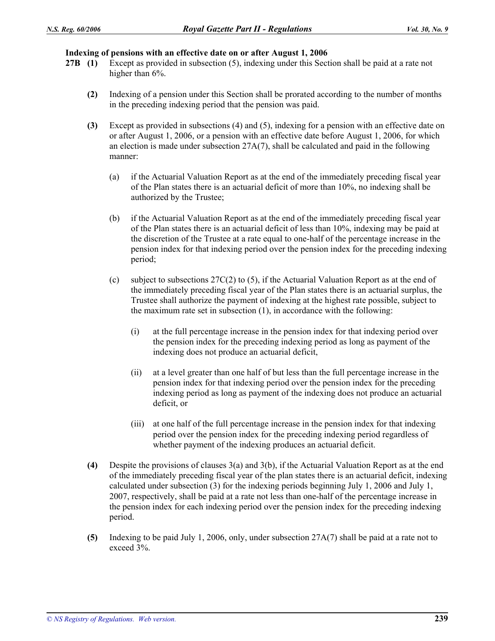#### **Indexing of pensions with an effective date on or after August 1, 2006**

- **27B (1)** Except as provided in subsection (5), indexing under this Section shall be paid at a rate not higher than  $6\%$ .
	- **(2)** Indexing of a pension under this Section shall be prorated according to the number of months in the preceding indexing period that the pension was paid.
	- **(3)** Except as provided in subsections (4) and (5), indexing for a pension with an effective date on or after August 1, 2006, or a pension with an effective date before August 1, 2006, for which an election is made under subsection 27A(7), shall be calculated and paid in the following manner:
		- (a) if the Actuarial Valuation Report as at the end of the immediately preceding fiscal year of the Plan states there is an actuarial deficit of more than 10%, no indexing shall be authorized by the Trustee;
		- (b) if the Actuarial Valuation Report as at the end of the immediately preceding fiscal year of the Plan states there is an actuarial deficit of less than 10%, indexing may be paid at the discretion of the Trustee at a rate equal to one-half of the percentage increase in the pension index for that indexing period over the pension index for the preceding indexing period;
		- (c) subject to subsections  $27C(2)$  to (5), if the Actuarial Valuation Report as at the end of the immediately preceding fiscal year of the Plan states there is an actuarial surplus, the Trustee shall authorize the payment of indexing at the highest rate possible, subject to the maximum rate set in subsection (1), in accordance with the following:
			- (i) at the full percentage increase in the pension index for that indexing period over the pension index for the preceding indexing period as long as payment of the indexing does not produce an actuarial deficit,
			- (ii) at a level greater than one half of but less than the full percentage increase in the pension index for that indexing period over the pension index for the preceding indexing period as long as payment of the indexing does not produce an actuarial deficit, or
			- (iii) at one half of the full percentage increase in the pension index for that indexing period over the pension index for the preceding indexing period regardless of whether payment of the indexing produces an actuarial deficit.
	- **(4)** Despite the provisions of clauses 3(a) and 3(b), if the Actuarial Valuation Report as at the end of the immediately preceding fiscal year of the plan states there is an actuarial deficit, indexing calculated under subsection (3) for the indexing periods beginning July 1, 2006 and July 1, 2007, respectively, shall be paid at a rate not less than one-half of the percentage increase in the pension index for each indexing period over the pension index for the preceding indexing period.
	- **(5)** Indexing to be paid July 1, 2006, only, under subsection 27A(7) shall be paid at a rate not to exceed 3%.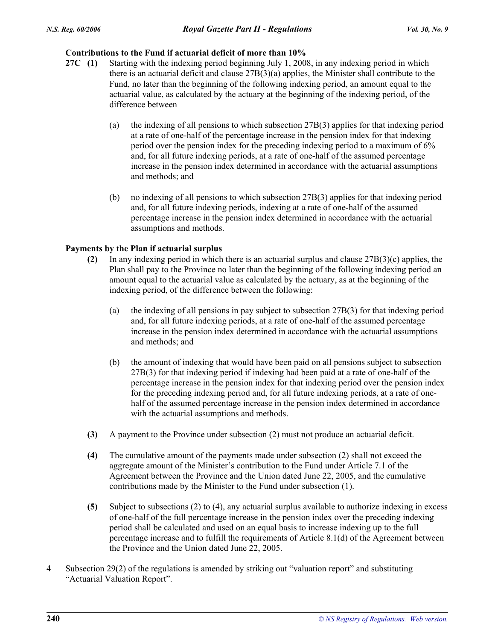# **Contributions to the Fund if actuarial deficit of more than 10%**

- **27C (1)** Starting with the indexing period beginning July 1, 2008, in any indexing period in which there is an actuarial deficit and clause 27B(3)(a) applies, the Minister shall contribute to the Fund, no later than the beginning of the following indexing period, an amount equal to the actuarial value, as calculated by the actuary at the beginning of the indexing period, of the difference between
	- (a) the indexing of all pensions to which subsection 27B(3) applies for that indexing period at a rate of one-half of the percentage increase in the pension index for that indexing period over the pension index for the preceding indexing period to a maximum of 6% and, for all future indexing periods, at a rate of one-half of the assumed percentage increase in the pension index determined in accordance with the actuarial assumptions and methods; and
	- (b) no indexing of all pensions to which subsection 27B(3) applies for that indexing period and, for all future indexing periods, indexing at a rate of one-half of the assumed percentage increase in the pension index determined in accordance with the actuarial assumptions and methods.

# **Payments by the Plan if actuarial surplus**

- **(2)** In any indexing period in which there is an actuarial surplus and clause 27B(3)(c) applies, the Plan shall pay to the Province no later than the beginning of the following indexing period an amount equal to the actuarial value as calculated by the actuary, as at the beginning of the indexing period, of the difference between the following:
	- (a) the indexing of all pensions in pay subject to subsection 27B(3) for that indexing period and, for all future indexing periods, at a rate of one-half of the assumed percentage increase in the pension index determined in accordance with the actuarial assumptions and methods; and
	- (b) the amount of indexing that would have been paid on all pensions subject to subsection 27B(3) for that indexing period if indexing had been paid at a rate of one-half of the percentage increase in the pension index for that indexing period over the pension index for the preceding indexing period and, for all future indexing periods, at a rate of onehalf of the assumed percentage increase in the pension index determined in accordance with the actuarial assumptions and methods.
- **(3)** A payment to the Province under subsection (2) must not produce an actuarial deficit.
- **(4)** The cumulative amount of the payments made under subsection (2) shall not exceed the aggregate amount of the Minister's contribution to the Fund under Article 7.1 of the Agreement between the Province and the Union dated June 22, 2005, and the cumulative contributions made by the Minister to the Fund under subsection (1).
- **(5)** Subject to subsections (2) to (4), any actuarial surplus available to authorize indexing in excess of one-half of the full percentage increase in the pension index over the preceding indexing period shall be calculated and used on an equal basis to increase indexing up to the full percentage increase and to fulfill the requirements of Article 8.1(d) of the Agreement between the Province and the Union dated June 22, 2005.
- 4 Subsection 29(2) of the regulations is amended by striking out "valuation report" and substituting "Actuarial Valuation Report".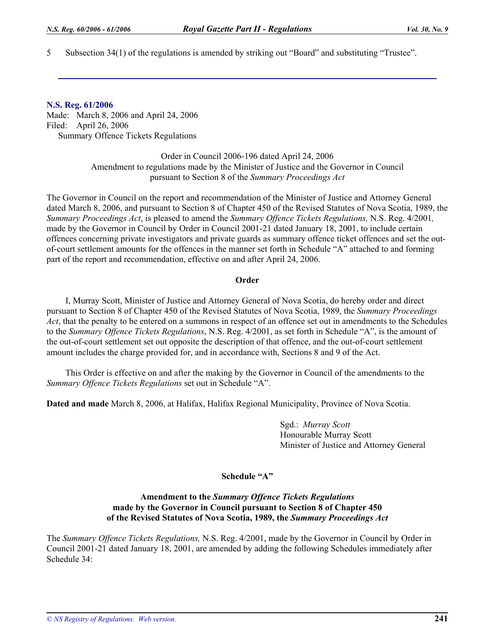5 Subsection 34(1) of the regulations is amended by striking out "Board" and substituting "Trustee".

#### **N.S. Reg. 61/2006**

Made: March 8, 2006 and April 24, 2006 Filed: April 26, 2006 Summary Offence Tickets Regulations

> Order in Council 2006-196 dated April 24, 2006 Amendment to regulations made by the Minister of Justice and the Governor in Council pursuant to Section 8 of the *Summary Proceedings Act*

The Governor in Council on the report and recommendation of the Minister of Justice and Attorney General dated March 8, 2006, and pursuant to Section 8 of Chapter 450 of the Revised Statutes of Nova Scotia, 1989, the *Summary Proceedings Act*, is pleased to amend the *Summary Offence Tickets Regulations,* N.S. Reg. 4/2001*,* made by the Governor in Council by Order in Council 2001-21 dated January 18, 2001, to include certain offences concerning private investigators and private guards as summary offence ticket offences and set the outof-court settlement amounts for the offences in the manner set forth in Schedule "A" attached to and forming part of the report and recommendation, effective on and after April 24, 2006.

## **Order**

I, Murray Scott, Minister of Justice and Attorney General of Nova Scotia, do hereby order and direct pursuant to Section 8 of Chapter 450 of the Revised Statutes of Nova Scotia, 1989, the *Summary Proceedings Act*, that the penalty to be entered on a summons in respect of an offence set out in amendments to the Schedules to the *Summary Offence Tickets Regulations*, N.S. Reg. 4/2001, as set forth in Schedule "A", is the amount of the out-of-court settlement set out opposite the description of that offence, and the out-of-court settlement amount includes the charge provided for, and in accordance with, Sections 8 and 9 of the Act.

This Order is effective on and after the making by the Governor in Council of the amendments to the *Summary Offence Tickets Regulations* set out in Schedule "A".

**Dated and made** March 8, 2006, at Halifax, Halifax Regional Municipality, Province of Nova Scotia.

Sgd.: *Murray Scott* Honourable Murray Scott Minister of Justice and Attorney General

## **Schedule "A"**

#### **Amendment to the** *Summary Offence Tickets Regulations* **made by the Governor in Council pursuant to Section 8 of Chapter 450 of the Revised Statutes of Nova Scotia, 1989, the** *Summary Proceedings Act*

The *Summary Offence Tickets Regulations,* N.S. Reg. 4/2001, made by the Governor in Council by Order in Council 2001-21 dated January 18, 2001, are amended by adding the following Schedules immediately after Schedule 34: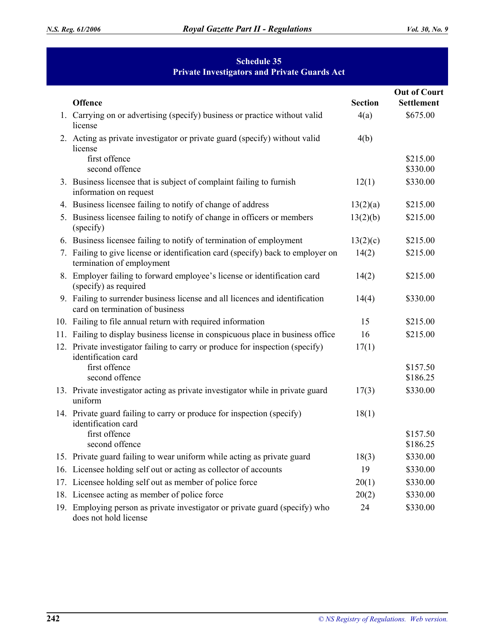# **Schedule 35 Private Investigators and Private Guards Act**

| Offence                                                                                                         | <b>Section</b> | <b>Out of Court</b><br><b>Settlement</b> |
|-----------------------------------------------------------------------------------------------------------------|----------------|------------------------------------------|
| 1. Carrying on or advertising (specify) business or practice without valid<br>license                           | 4(a)           | \$675.00                                 |
| 2. Acting as private investigator or private guard (specify) without valid<br>license                           | 4(b)           |                                          |
| first offence<br>second offence                                                                                 |                | \$215.00<br>\$330.00                     |
| 3. Business licensee that is subject of complaint failing to furnish<br>information on request                  | 12(1)          | \$330.00                                 |
| 4. Business licensee failing to notify of change of address                                                     | 13(2)(a)       | \$215.00                                 |
| 5. Business licensee failing to notify of change in officers or members<br>(specify)                            | 13(2)(b)       | \$215.00                                 |
| 6. Business licensee failing to notify of termination of employment                                             | 13(2)(c)       | \$215.00                                 |
| 7. Failing to give license or identification card (specify) back to employer on<br>termination of employment    | 14(2)          | \$215.00                                 |
| 8. Employer failing to forward employee's license or identification card<br>(specify) as required               | 14(2)          | \$215.00                                 |
| 9. Failing to surrender business license and all licences and identification<br>card on termination of business | 14(4)          | \$330.00                                 |
| 10. Failing to file annual return with required information                                                     | 15             | \$215.00                                 |
| 11. Failing to display business license in conspicuous place in business office                                 | 16             | \$215.00                                 |
| 12. Private investigator failing to carry or produce for inspection (specify)<br>identification card            | 17(1)          |                                          |
| first offence<br>second offence                                                                                 |                | \$157.50<br>\$186.25                     |
| 13. Private investigator acting as private investigator while in private guard<br>uniform                       | 17(3)          | \$330.00                                 |
| 14. Private guard failing to carry or produce for inspection (specify)<br>identification card                   | 18(1)          |                                          |
| first offence<br>second offence                                                                                 |                | \$157.50<br>\$186.25                     |
| 15. Private guard failing to wear uniform while acting as private guard                                         | 18(3)          | \$330.00                                 |
| 16. Licensee holding self out or acting as collector of accounts                                                | 19             | \$330.00                                 |
| 17. Licensee holding self out as member of police force                                                         | 20(1)          | \$330.00                                 |
| 18. Licensee acting as member of police force                                                                   | 20(2)          | \$330.00                                 |
| 19. Employing person as private investigator or private guard (specify) who<br>does not hold license            | 24             | \$330.00                                 |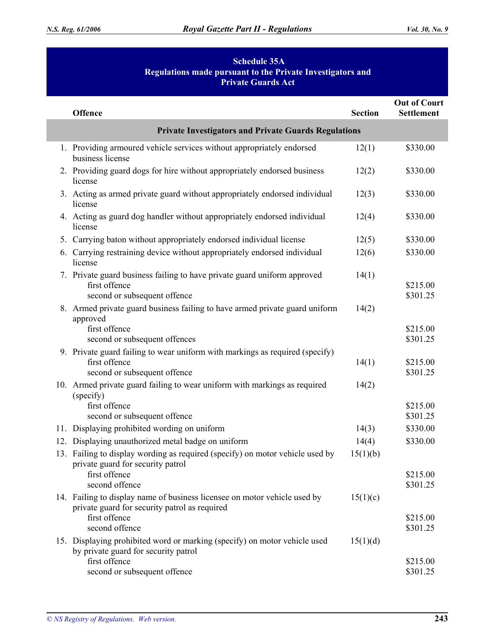# **Schedule 35A Regulations made pursuant to the Private Investigators and Private Guards Act**

| <b>Offence</b>                                                                                                                            | <b>Section</b> | <b>Out of Court</b><br><b>Settlement</b> |  |
|-------------------------------------------------------------------------------------------------------------------------------------------|----------------|------------------------------------------|--|
| <b>Private Investigators and Private Guards Regulations</b>                                                                               |                |                                          |  |
| 1. Providing armoured vehicle services without appropriately endorsed<br>business license                                                 | 12(1)          | \$330.00                                 |  |
| 2. Providing guard dogs for hire without appropriately endorsed business<br>license                                                       | 12(2)          | \$330.00                                 |  |
| 3. Acting as armed private guard without appropriately endorsed individual<br>license                                                     | 12(3)          | \$330.00                                 |  |
| 4. Acting as guard dog handler without appropriately endorsed individual<br>license                                                       | 12(4)          | \$330.00                                 |  |
| 5. Carrying baton without appropriately endorsed individual license                                                                       | 12(5)          | \$330.00                                 |  |
| 6. Carrying restraining device without appropriately endorsed individual<br>license                                                       | 12(6)          | \$330.00                                 |  |
| 7. Private guard business failing to have private guard uniform approved<br>first offence<br>second or subsequent offence                 | 14(1)          | \$215.00<br>\$301.25                     |  |
| 8. Armed private guard business failing to have armed private guard uniform<br>approved<br>first offence<br>second or subsequent offences | 14(2)          | \$215.00<br>\$301.25                     |  |
| 9. Private guard failing to wear uniform with markings as required (specify)<br>first offence<br>second or subsequent offence             | 14(1)          | \$215.00<br>\$301.25                     |  |
| 10. Armed private guard failing to wear uniform with markings as required<br>(specify)                                                    | 14(2)          |                                          |  |
| first offence                                                                                                                             |                | \$215.00                                 |  |
| second or subsequent offence                                                                                                              |                | \$301.25                                 |  |
| 11. Displaying prohibited wording on uniform                                                                                              | 14(3)          | \$330.00                                 |  |
| 12. Displaying unauthorized metal badge on uniform                                                                                        | 14(4)          | \$330.00                                 |  |
| 13. Failing to display wording as required (specify) on motor vehicle used by                                                             | 15(1)(b)       |                                          |  |
| private guard for security patrol<br>first offence<br>second offence                                                                      |                | \$215.00<br>\$301.25                     |  |
| 14. Failing to display name of business licensee on motor vehicle used by<br>private guard for security patrol as required                | 15(1)(c)       |                                          |  |
| first offence<br>second offence                                                                                                           |                | \$215.00<br>\$301.25                     |  |
| 15. Displaying prohibited word or marking (specify) on motor vehicle used<br>by private guard for security patrol                         | 15(1)(d)       |                                          |  |
| first offence<br>second or subsequent offence                                                                                             |                | \$215.00<br>\$301.25                     |  |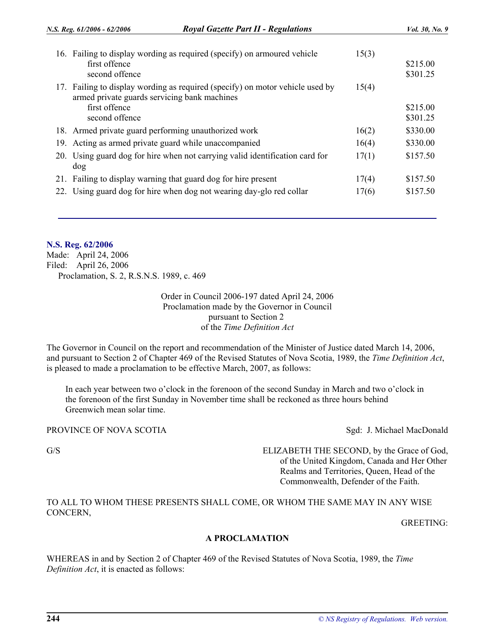|     | 16. Failing to display wording as required (specify) on armoured vehicle<br>first offence<br>second offence                   | 15(3) | \$215.00<br>\$301.25 |
|-----|-------------------------------------------------------------------------------------------------------------------------------|-------|----------------------|
|     | 17. Failing to display wording as required (specify) on motor vehicle used by<br>armed private guards servicing bank machines | 15(4) |                      |
|     | first offence                                                                                                                 |       | \$215.00             |
|     | second offence                                                                                                                |       | \$301.25             |
|     | 18. Armed private guard performing unauthorized work                                                                          | 16(2) | \$330.00             |
|     | 19. Acting as armed private guard while unaccompanied                                                                         | 16(4) | \$330.00             |
|     | 20. Using guard dog for hire when not carrying valid identification card for                                                  | 17(1) | \$157.50             |
|     | dog                                                                                                                           |       |                      |
|     | 21. Failing to display warning that guard dog for hire present                                                                | 17(4) | \$157.50             |
| 22. | Using guard dog for hire when dog not wearing day-glo red collar                                                              | 17(6) | \$157.50             |
|     |                                                                                                                               |       |                      |

# **N.S. Reg. 62/2006**

Made: April 24, 2006 Filed: April 26, 2006 Proclamation, S. 2, R.S.N.S. 1989, c. 469

> Order in Council 2006-197 dated April 24, 2006 Proclamation made by the Governor in Council pursuant to Section 2 of the *Time Definition Act*

The Governor in Council on the report and recommendation of the Minister of Justice dated March 14, 2006, and pursuant to Section 2 of Chapter 469 of the Revised Statutes of Nova Scotia, 1989, the *Time Definition Act*, is pleased to made a proclamation to be effective March, 2007, as follows:

In each year between two o'clock in the forenoon of the second Sunday in March and two o'clock in the forenoon of the first Sunday in November time shall be reckoned as three hours behind Greenwich mean solar time.

## PROVINCE OF NOVA SCOTIA SGLE STATES AND SAME SAFETY SAFETY SAFETY SAFETY SAFETY SAFETY SAFETY SAFETY SAFETY SAFETY SAFETY SAFETY SAFETY SAFETY SAFETY SAFETY SAFETY SAFETY SAFETY SAFETY SAFETY SAFETY SAFETY SAFETY SAFETY SA

G/S ELIZABETH THE SECOND, by the Grace of God, of the United Kingdom, Canada and Her Other Realms and Territories, Queen, Head of the Commonwealth, Defender of the Faith.

TO ALL TO WHOM THESE PRESENTS SHALL COME, OR WHOM THE SAME MAY IN ANY WISE CONCERN,

GREETING:

#### **A PROCLAMATION**

WHEREAS in and by Section 2 of Chapter 469 of the Revised Statutes of Nova Scotia, 1989, the *Time Definition Act*, it is enacted as follows: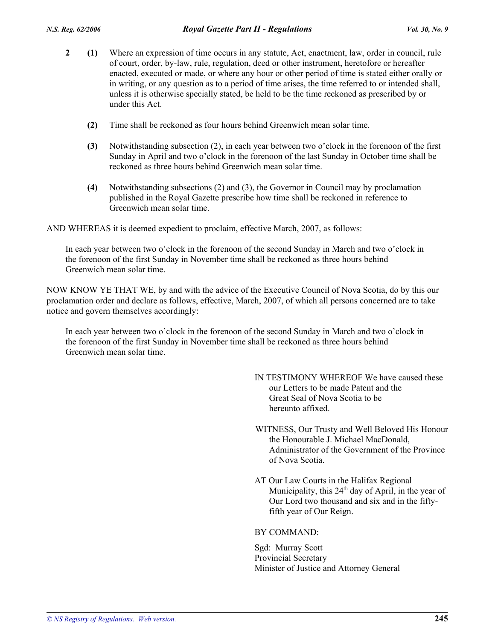- **2 (1)** Where an expression of time occurs in any statute, Act, enactment, law, order in council, rule of court, order, by-law, rule, regulation, deed or other instrument, heretofore or hereafter enacted, executed or made, or where any hour or other period of time is stated either orally or in writing, or any question as to a period of time arises, the time referred to or intended shall, unless it is otherwise specially stated, be held to be the time reckoned as prescribed by or under this Act.
	- **(2)** Time shall be reckoned as four hours behind Greenwich mean solar time.
	- **(3)** Notwithstanding subsection (2), in each year between two o'clock in the forenoon of the first Sunday in April and two o'clock in the forenoon of the last Sunday in October time shall be reckoned as three hours behind Greenwich mean solar time.
	- **(4)** Notwithstanding subsections (2) and (3), the Governor in Council may by proclamation published in the Royal Gazette prescribe how time shall be reckoned in reference to Greenwich mean solar time.

AND WHEREAS it is deemed expedient to proclaim, effective March, 2007, as follows:

In each year between two o'clock in the forenoon of the second Sunday in March and two o'clock in the forenoon of the first Sunday in November time shall be reckoned as three hours behind Greenwich mean solar time.

NOW KNOW YE THAT WE, by and with the advice of the Executive Council of Nova Scotia, do by this our proclamation order and declare as follows, effective, March, 2007, of which all persons concerned are to take notice and govern themselves accordingly:

In each year between two o'clock in the forenoon of the second Sunday in March and two o'clock in the forenoon of the first Sunday in November time shall be reckoned as three hours behind Greenwich mean solar time.

- IN TESTIMONY WHEREOF We have caused these our Letters to be made Patent and the Great Seal of Nova Scotia to be hereunto affixed.
- WITNESS, Our Trusty and Well Beloved His Honour the Honourable J. Michael MacDonald, Administrator of the Government of the Province of Nova Scotia.
- AT Our Law Courts in the Halifax Regional Municipality, this  $24<sup>th</sup>$  day of April, in the year of Our Lord two thousand and six and in the fiftyfifth year of Our Reign.

# BY COMMAND:

Sgd: Murray Scott Provincial Secretary Minister of Justice and Attorney General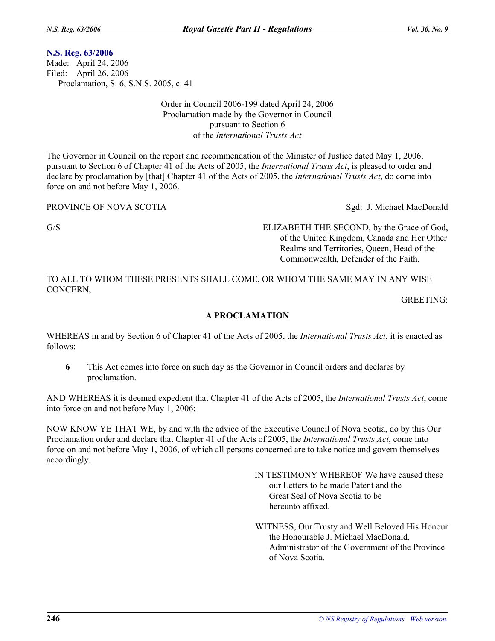# **N.S. Reg. 63/2006**

Made: April 24, 2006 Filed: April 26, 2006 Proclamation, S. 6, S.N.S. 2005, c. 41

> Order in Council 2006-199 dated April 24, 2006 Proclamation made by the Governor in Council pursuant to Section 6 of the *International Trusts Act*

The Governor in Council on the report and recommendation of the Minister of Justice dated May 1, 2006, pursuant to Section 6 of Chapter 41 of the Acts of 2005, the *International Trusts Act*, is pleased to order and declare by proclamation by [that] Chapter 41 of the Acts of 2005, the *International Trusts Act*, do come into force on and not before May 1, 2006.

PROVINCE OF NOVA SCOTIA Sgd: J. Michael MacDonald

G/S ELIZABETH THE SECOND, by the Grace of God, of the United Kingdom, Canada and Her Other Realms and Territories, Queen, Head of the Commonwealth, Defender of the Faith.

TO ALL TO WHOM THESE PRESENTS SHALL COME, OR WHOM THE SAME MAY IN ANY WISE CONCERN,

GREETING:

# **A PROCLAMATION**

WHEREAS in and by Section 6 of Chapter 41 of the Acts of 2005, the *International Trusts Act*, it is enacted as follows:

**6** This Act comes into force on such day as the Governor in Council orders and declares by proclamation.

AND WHEREAS it is deemed expedient that Chapter 41 of the Acts of 2005, the *International Trusts Act*, come into force on and not before May 1, 2006;

NOW KNOW YE THAT WE, by and with the advice of the Executive Council of Nova Scotia, do by this Our Proclamation order and declare that Chapter 41 of the Acts of 2005, the *International Trusts Act*, come into force on and not before May 1, 2006, of which all persons concerned are to take notice and govern themselves accordingly.

> IN TESTIMONY WHEREOF We have caused these our Letters to be made Patent and the Great Seal of Nova Scotia to be hereunto affixed.

WITNESS, Our Trusty and Well Beloved His Honour the Honourable J. Michael MacDonald, Administrator of the Government of the Province of Nova Scotia.